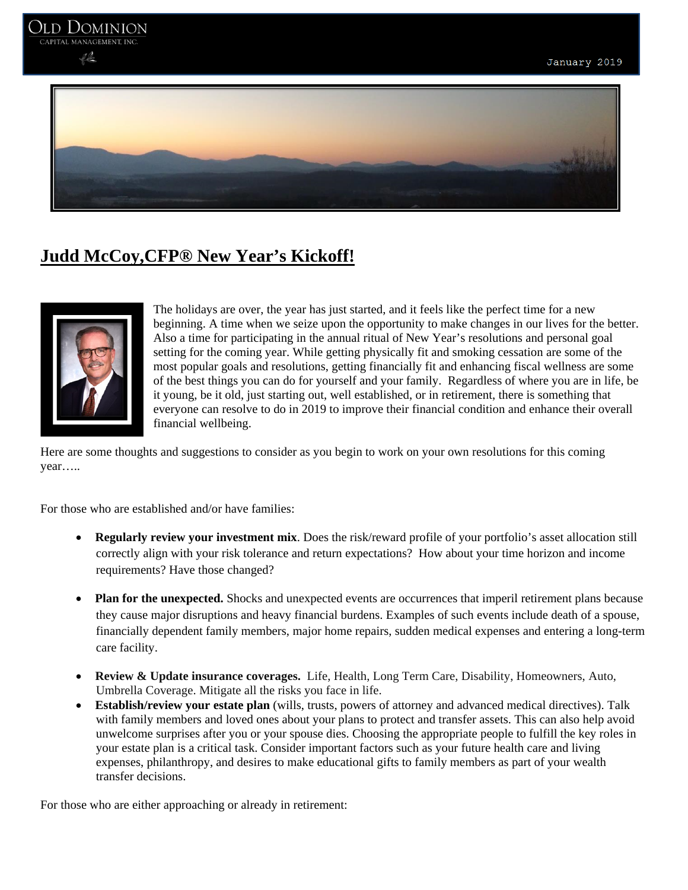

## **Judd McCoy,CFP® New Year's Kickoff!**



The holidays are over, the year has just started, and it feels like the perfect time for a new beginning. A time when we seize upon the opportunity to make changes in our lives for the better. Also a time for participating in the annual ritual of New Year's resolutions and personal goal setting for the coming year. While getting physically fit and smoking cessation are some of the most popular goals and resolutions, getting financially fit and enhancing fiscal wellness are some of the best things you can do for yourself and your family. Regardless of where you are in life, be it young, be it old, just starting out, well established, or in retirement, there is something that everyone can resolve to do in 2019 to improve their financial condition and enhance their overall financial wellbeing.

Here are some thoughts and suggestions to consider as you begin to work on your own resolutions for this coming year…..

For those who are established and/or have families:

- **Regularly review your investment mix**. Does the risk/reward profile of your portfolio's asset allocation still correctly align with your risk tolerance and return expectations? How about your time horizon and income requirements? Have those changed?
- **Plan for the unexpected.** Shocks and unexpected events are occurrences that imperil retirement plans because they cause major disruptions and heavy financial burdens. Examples of such events include death of a spouse, financially dependent family members, major home repairs, sudden medical expenses and entering a long-term care facility.
- **Review & Update insurance coverages.** Life, Health, Long Term Care, Disability, Homeowners, Auto, Umbrella Coverage. Mitigate all the risks you face in life.
- **Establish/review your estate plan** (wills, trusts, powers of attorney and advanced medical directives). Talk with family members and loved ones about your plans to protect and transfer assets. This can also help avoid unwelcome surprises after you or your spouse dies. Choosing the appropriate people to fulfill the key roles in your estate plan is a critical task. Consider important factors such as your future health care and living expenses, philanthropy, and desires to make educational gifts to family members as part of your wealth transfer decisions.

For those who are either approaching or already in retirement: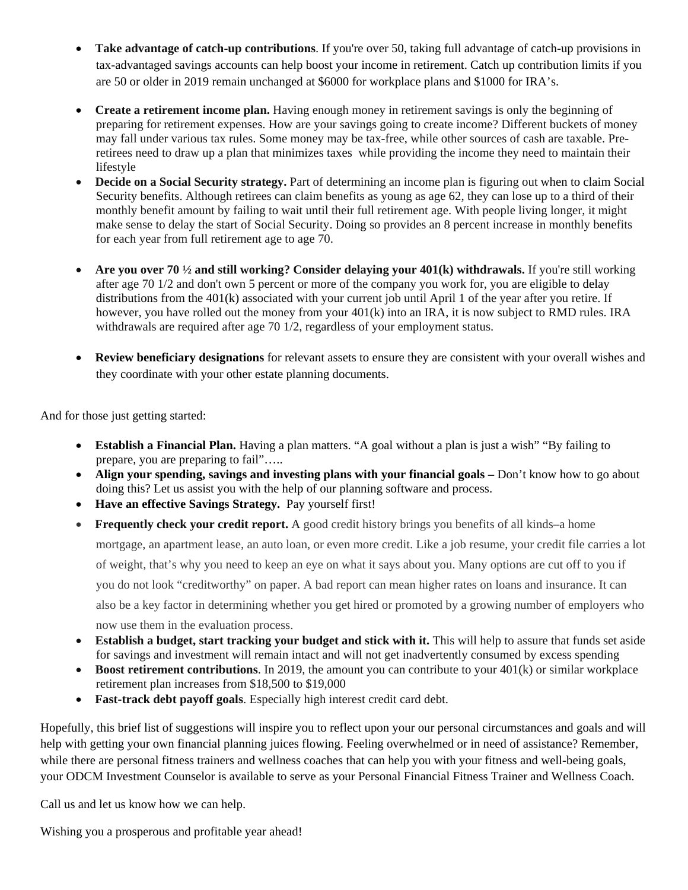- **Take advantage of catch-up contributions**. If you're over 50, taking full advantage of catch-up provisions in tax-advantaged savings accounts can help boost your income in retirement. Catch up contribution limits if you are 50 or older in 2019 remain unchanged at \$6000 for workplace plans and \$1000 for IRA's.
- Create a retirement income plan. Having enough money in retirement savings is only the beginning of preparing for retirement expenses. How are your savings going to create income? Different buckets of money may fall under various tax rules. Some money may be tax-free, while other sources of cash are taxable. Preretirees need to draw up a plan that minimizes taxes while providing the income they need to maintain their lifestyle
- **Decide on a Social Security strategy.** Part of determining an income plan is figuring out when to claim Social Security benefits. Although retirees can claim benefits as young as age 62, they can lose up to a third of their monthly benefit amount by failing to wait until their full retirement age. With people living longer, it might make sense to delay the start of Social Security. Doing so provides an 8 percent increase in monthly benefits for each year from full retirement age to age 70.
- **Are you over 70**  $\frac{1}{2}$  **and still working? Consider delaying your 401(k) withdrawals.** If you're still working after age 70 1/2 and don't own 5 percent or more of the company you work for, you are eligible to delay distributions from the 401(k) associated with your current job until April 1 of the year after you retire. If however, you have rolled out the money from your 401(k) into an IRA, it is now subject to RMD rules. IRA withdrawals are required after age 70 1/2, regardless of your employment status.
- **Review beneficiary designations** for relevant assets to ensure they are consistent with your overall wishes and they coordinate with your other estate planning documents.

And for those just getting started:

- **Establish a Financial Plan.** Having a plan matters. "A goal without a plan is just a wish" "By failing to prepare, you are preparing to fail"…..
- Align your spending, savings and investing plans with your financial goals Don't know how to go about doing this? Let us assist you with the help of our planning software and process.
- **Have an effective Savings Strategy.** Pay yourself first!
- **Frequently check your credit report.** A good credit history brings you benefits of all kinds–a home mortgage, an apartment lease, an auto loan, or even more credit. Like a job resume, your credit file carries a lot of weight, that's why you need to keep an eye on what it says about you. Many options are cut off to you if you do not look "creditworthy" on paper. A bad report can mean higher rates on loans and insurance. It can also be a key factor in determining whether you get hired or promoted by a growing number of employers who now use them in the evaluation process.
- **Establish a budget, start tracking your budget and stick with it.** This will help to assure that funds set aside for savings and investment will remain intact and will not get inadvertently consumed by excess spending
- **Boost retirement contributions**. In 2019, the amount you can contribute to your 401(k) or similar workplace retirement plan increases from \$18,500 to \$19,000
- **Fast-track debt payoff goals**. Especially high interest credit card debt.

Hopefully, this brief list of suggestions will inspire you to reflect upon your our personal circumstances and goals and will help with getting your own financial planning juices flowing. Feeling overwhelmed or in need of assistance? Remember, while there are personal fitness trainers and wellness coaches that can help you with your fitness and well-being goals, your ODCM Investment Counselor is available to serve as your Personal Financial Fitness Trainer and Wellness Coach.

Call us and let us know how we can help.

Wishing you a prosperous and profitable year ahead!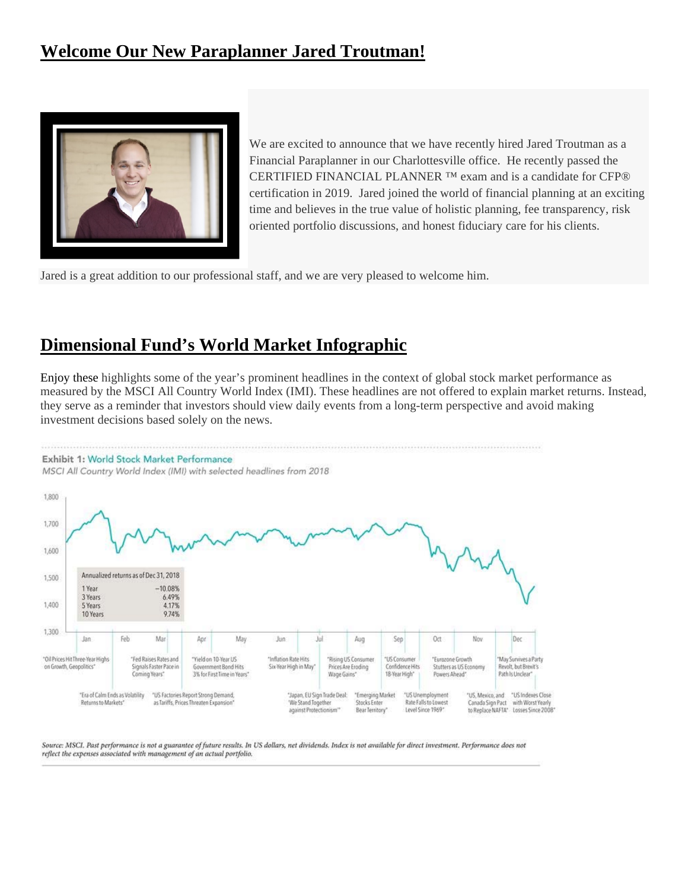# **Welcome Our New Paraplanner Jared Troutman!**



We are excited to announce that we have recently hired Jared Troutman as a Financial Paraplanner in our Charlottesville office. He recently passed the CERTIFIED FINANCIAL PLANNER ™ exam and is a candidate for CFP® certification in 2019. Jared joined the world of financial planning at an exciting time and believes in the true value of holistic planning, fee transparency, risk oriented portfolio discussions, and honest fiduciary care for his clients.

Jared is a great addition to our professional staff, and we are very pleased to welcome him.

## **Dimensional Fund's World Market Infographic**

Enjoy these highlights some of the year's prominent headlines in the context of global stock market performance as measured by the MSCI All Country World Index (IMI). These headlines are not offered to explain market returns. Instead, they serve as a reminder that investors should view daily events from a long-term perspective and avoid making investment decisions based solely on the news.



Source: MSCI. Past performance is not a guarantee of future results. In US dollars, net dividends. Index is not available for direct investment. Performance does not reflect the expenses associated with management of an actual portfolio.